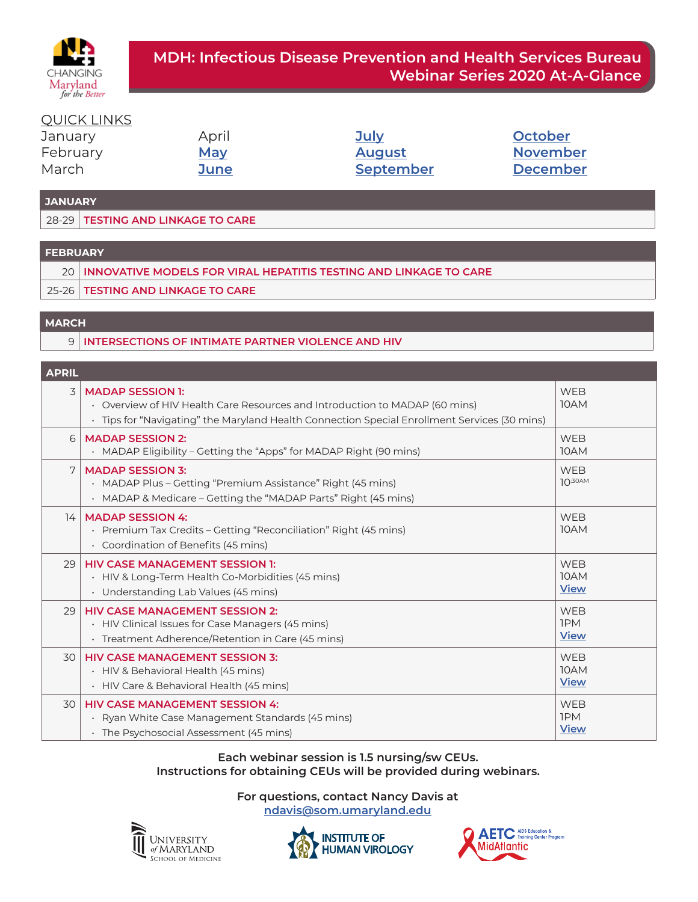

### QUICK LINKS

| January  | April      | <u>July</u>   | October         |
|----------|------------|---------------|-----------------|
| February | <u>May</u> | <b>August</b> | <b>November</b> |
| March    | June       | September     | <b>December</b> |

#### **JANUARY**

28-29 **TESTING AND LINKAGE TO CARE** 

#### **FEBRUARY**

- 20 **INNOVATIVE MODELS FOR VIRAL HEPATITIS TESTING AND LINKAGE TO CARE**
- 25-26 **TESTING AND LINKAGE TO CARE**

### **MARCH**

9 **INTERSECTIONS OF INTIMATE PARTNER VIOLENCE AND HIV** 

#### **APRIL**

| ----- |                                                                                                                                                                                                        |                                         |
|-------|--------------------------------------------------------------------------------------------------------------------------------------------------------------------------------------------------------|-----------------------------------------|
| 3     | <b>MADAP SESSION 1:</b><br>• Overview of HIV Health Care Resources and Introduction to MADAP (60 mins)<br>· Tips for "Navigating" the Maryland Health Connection Special Enrollment Services (30 mins) | <b>WEB</b><br>10AM                      |
| 6     | <b>MADAP SESSION 2:</b><br>• MADAP Eligibility – Getting the "Apps" for MADAP Right (90 mins)                                                                                                          | <b>WEB</b><br>10AM                      |
| 7     | <b>MADAP SESSION 3:</b><br>• MADAP Plus – Getting "Premium Assistance" Right (45 mins)<br>• MADAP & Medicare – Getting the "MADAP Parts" Right (45 mins)                                               | <b>WEB</b><br>$10^{30AM}$               |
| 14    | <b>MADAP SESSION 4:</b><br>· Premium Tax Credits – Getting "Reconciliation" Right (45 mins)<br>• Coordination of Benefits (45 mins)                                                                    | <b>WEB</b><br>10AM                      |
| 29    | <b>HIV CASE MANAGEMENT SESSION 1:</b><br>• HIV & Long-Term Health Co-Morbidities (45 mins)<br>• Understanding Lab Values (45 mins)                                                                     | <b>WEB</b><br>10AM<br><b>View</b>       |
| 29    | <b>HIV CASE MANAGEMENT SESSION 2:</b><br>• HIV Clinical Issues for Case Managers (45 mins)<br>· Treatment Adherence/Retention in Care (45 mins)                                                        | <b>WEB</b><br><b>IPM</b><br><b>View</b> |
| 30    | <b>HIV CASE MANAGEMENT SESSION 3:</b><br>· HIV & Behavioral Health (45 mins)<br>• HIV Care & Behavioral Health (45 mins)                                                                               | <b>WEB</b><br>10AM<br><b>View</b>       |
| 30    | <b>HIV CASE MANAGEMENT SESSION 4:</b><br>Ryan White Case Management Standards (45 mins)<br>· The Psychosocial Assessment (45 mins)                                                                     | <b>WEB</b><br><b>IPM</b><br><b>View</b> |

#### **Each webinar session is 1.5 nursing/sw CEUs. Instructions for obtaining CEUs will be provided during webinars.**





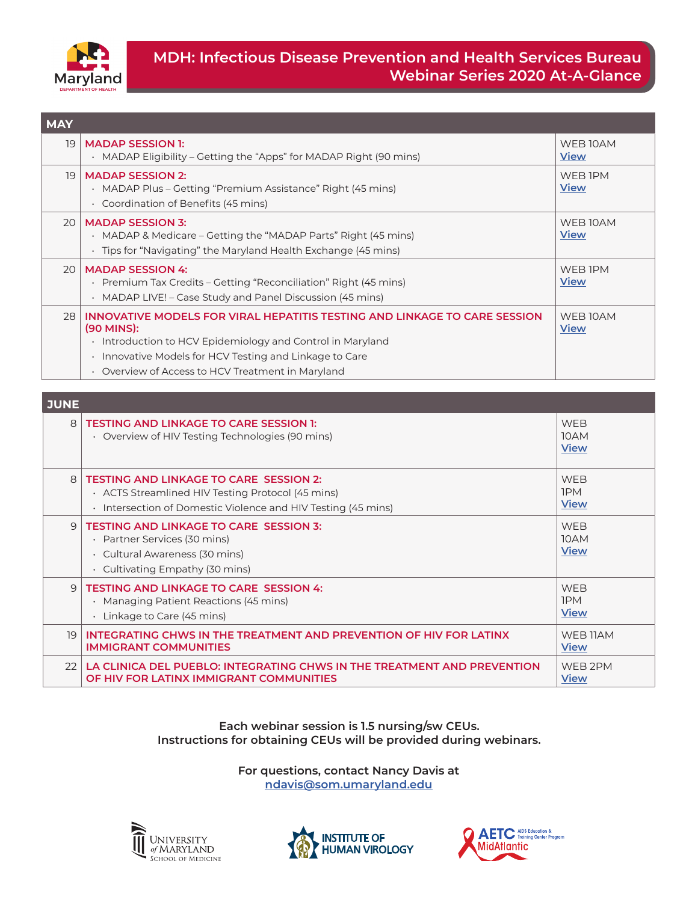<span id="page-1-0"></span>

| <b>MAY</b>      |                                                                                                                                                                                                                                                                             |                         |
|-----------------|-----------------------------------------------------------------------------------------------------------------------------------------------------------------------------------------------------------------------------------------------------------------------------|-------------------------|
| 19              | <b>MADAP SESSION 1:</b><br>· MADAP Eligibility - Getting the "Apps" for MADAP Right (90 mins)                                                                                                                                                                               | WEB 10AM<br><b>View</b> |
| 19 <sub>1</sub> | <b>MADAP SESSION 2:</b><br>MADAP Plus – Getting "Premium Assistance" Right (45 mins)<br>$\bullet$<br>• Coordination of Benefits (45 mins)                                                                                                                                   | WEB IPM<br><b>View</b>  |
| 20 <sup>1</sup> | <b>MADAP SESSION 3:</b><br>MADAP & Medicare – Getting the "MADAP Parts" Right (45 mins)<br>$\bullet$<br>· Tips for "Navigating" the Maryland Health Exchange (45 mins)                                                                                                      | WEB 10AM<br><b>View</b> |
| 20 <sup>1</sup> | <b>MADAP SESSION 4:</b><br>Premium Tax Credits – Getting "Reconciliation" Right (45 mins)<br>$\bullet$<br>• MADAP LIVE! - Case Study and Panel Discussion (45 mins)                                                                                                         | WEB IPM<br><b>View</b>  |
| 28              | INNOVATIVE MODELS FOR VIRAL HEPATITIS TESTING AND LINKAGE TO CARE SESSION<br>(90 MINS):<br>Introduction to HCV Epidemiology and Control in Maryland<br>٠<br>Innovative Models for HCV Testing and Linkage to Care<br>٠<br>• Overview of Access to HCV Treatment in Maryland | WEB 10AM<br><b>View</b> |

| <b>JUNE</b> |                                                                                                                                                                     |                                   |
|-------------|---------------------------------------------------------------------------------------------------------------------------------------------------------------------|-----------------------------------|
| 8           | <b>TESTING AND LINKAGE TO CARE SESSION 1:</b><br>• Overview of HIV Testing Technologies (90 mins)                                                                   | <b>WFB</b><br>10AM<br><b>View</b> |
| 8           | <b>TESTING AND LINKAGE TO CARE SESSION 2:</b><br>• ACTS Streamlined HIV Testing Protocol (45 mins)<br>• Intersection of Domestic Violence and HIV Testing (45 mins) | <b>WFB</b><br>1PM<br><b>View</b>  |
| $\Theta$    | <b>TESTING AND LINKAGE TO CARE SESSION 3:</b><br>· Partner Services (30 mins)<br>· Cultural Awareness (30 mins)<br>$\cdot$ Cultivating Empathy (30 mins)            | <b>WEB</b><br>10AM<br><b>View</b> |
| $\Theta$    | <b>TESTING AND LINKAGE TO CARE SESSION 4:</b><br>• Managing Patient Reactions (45 mins)<br>$\cdot$ Linkage to Care (45 mins)                                        | <b>WFB</b><br>1PM<br><b>View</b>  |
| 19          | INTEGRATING CHWS IN THE TREATMENT AND PREVENTION OF HIV FOR LATINX<br><b>IMMIGRANT COMMUNITIES</b>                                                                  | WFB 11AM<br><b>View</b>           |
| 22          | LA CLINICA DEL PUEBLO: INTEGRATING CHWS IN THE TREATMENT AND PREVENTION<br>OF HIV FOR LATINX IMMIGRANT COMMUNITIES                                                  | WEB 2PM<br>View                   |

#### **Each webinar session is 1.5 nursing/sw CEUs. Instructions for obtaining CEUs will be provided during webinars.**





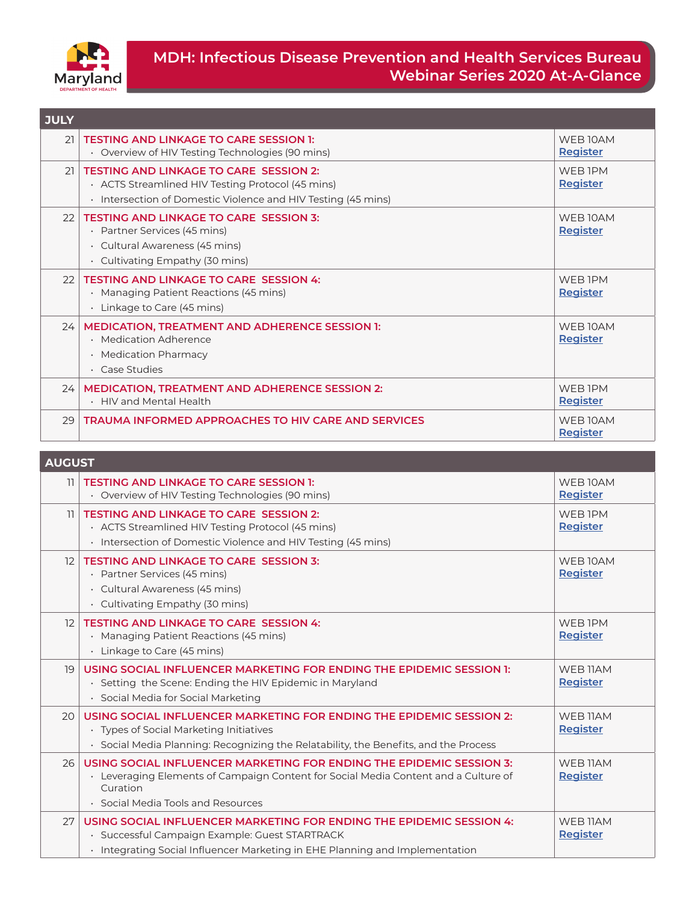<span id="page-2-0"></span>

| <b>JULY</b> |                                                                                                                                                                     |                                        |
|-------------|---------------------------------------------------------------------------------------------------------------------------------------------------------------------|----------------------------------------|
| 21          | <b>TESTING AND LINKAGE TO CARE SESSION 1:</b><br>• Overview of HIV Testing Technologies (90 mins)                                                                   | WEB <sub>10AM</sub><br><b>Register</b> |
| 21          | <b>TESTING AND LINKAGE TO CARE SESSION 2:</b><br>• ACTS Streamlined HIV Testing Protocol (45 mins)<br>• Intersection of Domestic Violence and HIV Testing (45 mins) | WFR <sub>1</sub> PM<br><b>Register</b> |
| 22          | <b>TESTING AND LINKAGE TO CARE SESSION 3:</b><br>· Partner Services (45 mins)<br>· Cultural Awareness (45 mins)<br>$\cdot$ Cultivating Empathy (30 mins)            | WEB 10AM<br>Register                   |
| 22          | <b>TESTING AND LINKAGE TO CARE SESSION 4:</b><br>• Managing Patient Reactions (45 mins)<br>$\cdot$ Linkage to Care (45 mins)                                        | WEB IPM<br><b>Register</b>             |
| 24          | <b>MEDICATION, TREATMENT AND ADHERENCE SESSION 1:</b><br>· Medication Adherence<br>• Medication Pharmacy<br>· Case Studies                                          | WFB 10AM<br><b>Register</b>            |
| 24          | <b>MEDICATION, TREATMENT AND ADHERENCE SESSION 2:</b><br>• HIV and Mental Health                                                                                    | WFR <sub>1</sub> PM<br><b>Register</b> |
| 29          | <b>TRAUMA INFORMED APPROACHES TO HIV CARE AND SERVICES</b>                                                                                                          | WEB 10AM<br>Register                   |

|                 | <b>AUGUST</b>                                                                                                                                                                                                 |                                        |  |
|-----------------|---------------------------------------------------------------------------------------------------------------------------------------------------------------------------------------------------------------|----------------------------------------|--|
| 11              | <b>TESTING AND LINKAGE TO CARE SESSION 1:</b><br>• Overview of HIV Testing Technologies (90 mins)                                                                                                             | WEB 10AM<br><b>Register</b>            |  |
| 11              | <b>TESTING AND LINKAGE TO CARE SESSION 2:</b><br>· ACTS Streamlined HIV Testing Protocol (45 mins)<br>• Intersection of Domestic Violence and HIV Testing (45 mins)                                           | WEB IPM<br>Register                    |  |
| $12-12$         | <b>TESTING AND LINKAGE TO CARE SESSION 3:</b><br>· Partner Services (45 mins)<br>· Cultural Awareness (45 mins)<br>· Cultivating Empathy (30 mins)                                                            | WFB 10AM<br><b>Register</b>            |  |
| 12              | <b>TESTING AND LINKAGE TO CARE SESSION 4:</b><br>• Managing Patient Reactions (45 mins)<br>· Linkage to Care (45 mins)                                                                                        | WFR <sub>1</sub> PM<br><b>Register</b> |  |
| 19              | USING SOCIAL INFLUENCER MARKETING FOR ENDING THE EPIDEMIC SESSION 1:<br>· Setting the Scene: Ending the HIV Epidemic in Maryland<br>· Social Media for Social Marketing                                       | WEB 11AM<br>Register                   |  |
| 20 <sup>1</sup> | USING SOCIAL INFLUENCER MARKETING FOR ENDING THE EPIDEMIC SESSION 2:<br>• Types of Social Marketing Initiatives<br>• Social Media Planning: Recognizing the Relatability, the Benefits, and the Process       | WEB 11AM<br><b>Register</b>            |  |
| 26              | USING SOCIAL INFLUENCER MARKETING FOR ENDING THE EPIDEMIC SESSION 3:<br>• Leveraging Elements of Campaign Content for Social Media Content and a Culture of<br>Curation<br>• Social Media Tools and Resources | WFB 11AM<br>Register                   |  |
| 27              | USING SOCIAL INFLUENCER MARKETING FOR ENDING THE EPIDEMIC SESSION 4:<br>· Successful Campaign Example: Guest STARTRACK<br>· Integrating Social Influencer Marketing in EHE Planning and Implementation        | WFB 11AM<br>Register                   |  |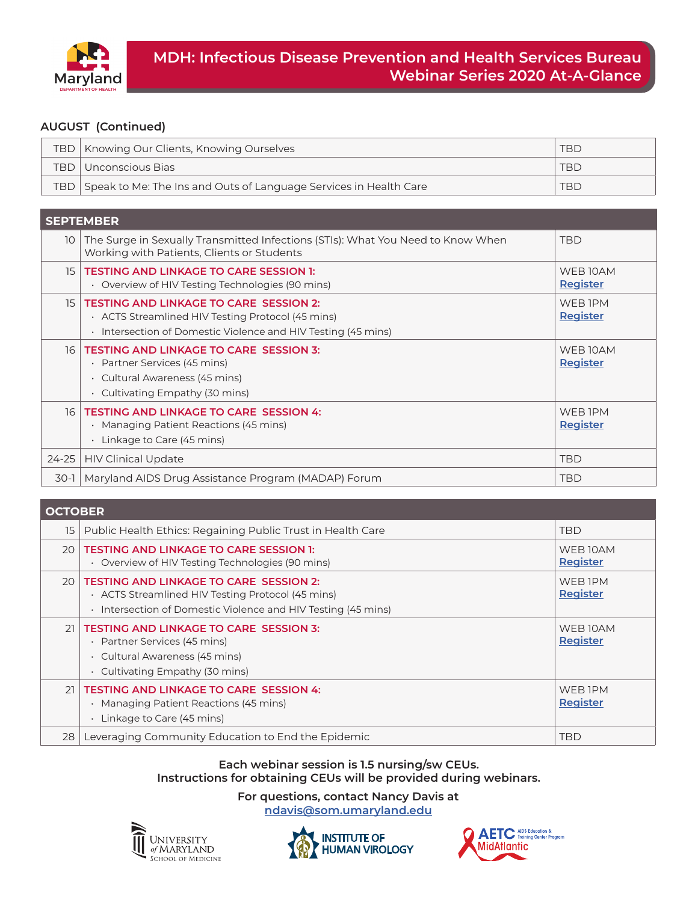<span id="page-3-0"></span>

#### **AUGUST (Continued)**

|     | TBD   Knowing Our Clients, Knowing Ourselves                          | <b>TBD</b> |
|-----|-----------------------------------------------------------------------|------------|
| TBD | ∪ ∪nconscious Bias∣                                                   | <b>TBD</b> |
|     | TBD Speak to Me: The Ins and Outs of Language Services in Health Care | <b>TBD</b> |

|                 | <b>SEPTEMBER</b>                                                                                                                                                    |                             |
|-----------------|---------------------------------------------------------------------------------------------------------------------------------------------------------------------|-----------------------------|
| 10 I            | The Surge in Sexually Transmitted Infections (STIs): What You Need to Know When<br>Working with Patients, Clients or Students                                       | <b>TBD</b>                  |
| 15 <sup>1</sup> | <b>TESTING AND LINKAGE TO CARE SESSION 1:</b><br>• Overview of HIV Testing Technologies (90 mins)                                                                   | WEB 10AM<br><b>Register</b> |
| 15 <sub>1</sub> | <b>TESTING AND LINKAGE TO CARE SESSION 2:</b><br>• ACTS Streamlined HIV Testing Protocol (45 mins)<br>• Intersection of Domestic Violence and HIV Testing (45 mins) | WEB IPM<br>Register         |
| 16 <sup>1</sup> | <b>TESTING AND LINKAGE TO CARE SESSION 3:</b><br>Partner Services (45 mins)<br>٠<br>· Cultural Awareness (45 mins)<br>$\cdot$ Cultivating Empathy (30 mins)         | WEB 10AM<br><b>Register</b> |
| 16              | <b>TESTING AND LINKAGE TO CARE SESSION 4:</b><br>• Managing Patient Reactions (45 mins)<br>Linkage to Care (45 mins)<br>٠                                           | WEB IPM<br><b>Register</b>  |
| $24 - 25$       | <b>HIV Clinical Update</b>                                                                                                                                          | <b>TBD</b>                  |
| 30-1            | Maryland AIDS Drug Assistance Program (MADAP) Forum                                                                                                                 | <b>TBD</b>                  |

| <b>OCTOBER</b>  |                                                                                                                                                                        |                            |
|-----------------|------------------------------------------------------------------------------------------------------------------------------------------------------------------------|----------------------------|
| 15              | Public Health Ethics: Regaining Public Trust in Health Care                                                                                                            | <b>TBD</b>                 |
| 20              | <b>TESTING AND LINKAGE TO CARE SESSION 1:</b><br>• Overview of HIV Testing Technologies (90 mins)                                                                      | WEB 10AM<br>Register       |
| 20 <sup>1</sup> | <b>TESTING AND LINKAGE TO CARE SESSION 2:</b><br>• ACTS Streamlined HIV Testing Protocol (45 mins)<br>Intersection of Domestic Violence and HIV Testing (45 mins)<br>٠ | WEB IPM<br>Register        |
| 21              | <b>TESTING AND LINKAGE TO CARE SESSION 3:</b><br>Partner Services (45 mins)<br>٠<br>· Cultural Awareness (45 mins)<br>$\cdot$ Cultivating Empathy (30 mins)            | WEB 10AM<br>Register       |
| 21              | <b>TESTING AND LINKAGE TO CARE SESSION 4:</b><br>Managing Patient Reactions (45 mins)<br>Linkage to Care (45 mins)                                                     | WEB IPM<br><b>Register</b> |
| 28              | Leveraging Community Education to End the Epidemic                                                                                                                     | <b>TBD</b>                 |

## **Each webinar session is 1.5 nursing/sw CEUs.**

**Instructions for obtaining CEUs will be provided during webinars.**